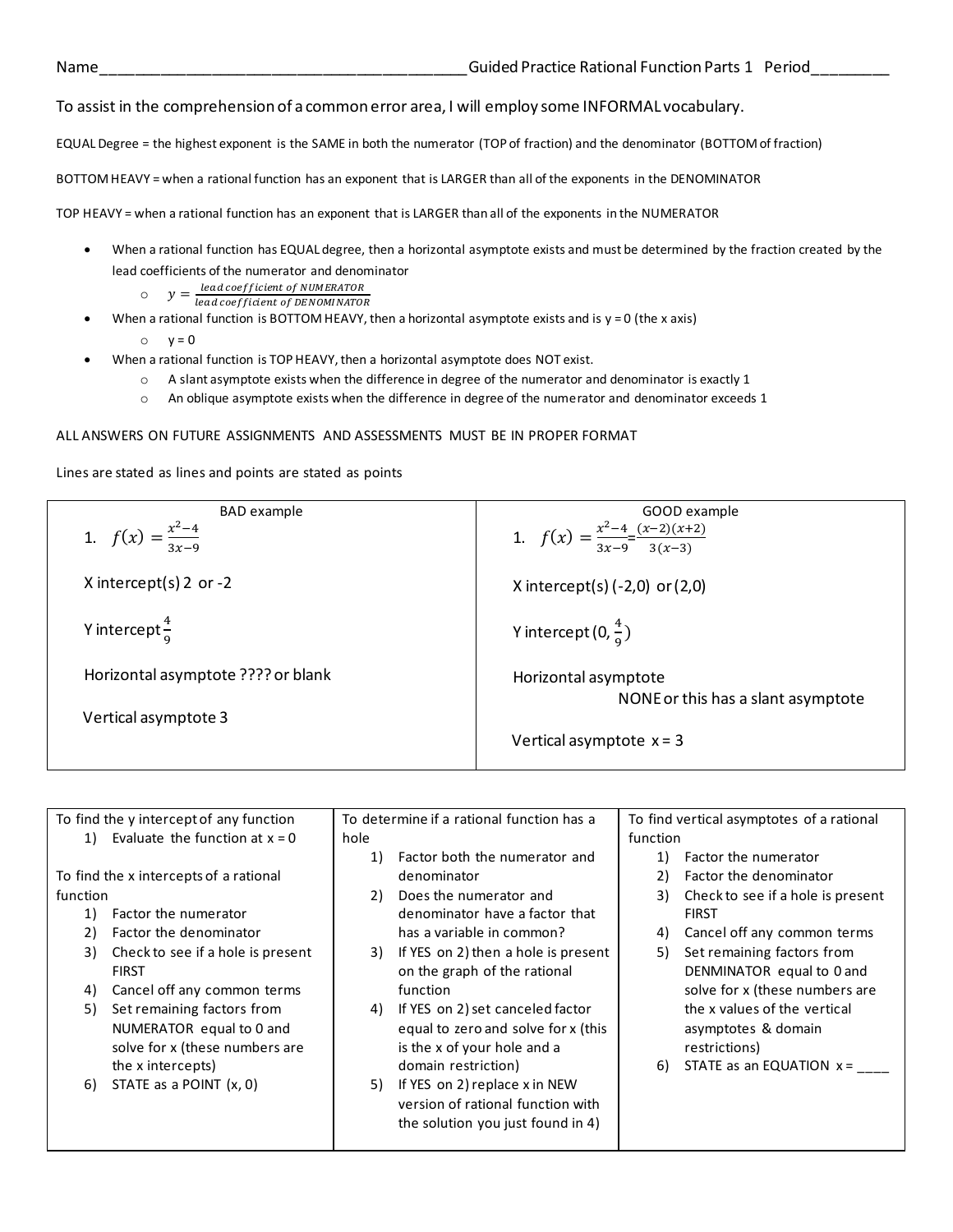## To assist in the comprehension of a common error area, I will employ some INFORMAL vocabulary.

EQUAL Degree = the highest exponent is the SAME in both the numerator (TOP of fraction) and the denominator (BOTTOM of fraction)

BOTTOM HEAVY = when a rational function has an exponent that is LARGER than all of the exponents in the DENOMINATOR

TOP HEAVY = when a rational function has an exponent that is LARGER than all of the exponents in the NUMERATOR

- When a rational function has EQUAL degree, then a horizontal asymptote exists and must be determined by the fraction created by the lead coefficients of the numerator and denominator
	- $y = \frac{lead\,coefficient\,of\,NUMERATOR}{lead\,coefficient\,of\,DFNOMMATO}$ 
		- lead coefficient of DENOMINATOR
- When a rational function is BOTTOM HEAVY, then a horizontal asymptote exists and is  $y = 0$  (the x axis)
	- $\circ$   $v = 0$
- When a rational function is TOP HEAVY, then a horizontal asymptote does NOT exist.
	- $\circ$  A slant asymptote exists when the difference in degree of the numerator and denominator is exactly 1
	- o An oblique asymptote exists when the difference in degree of the numerator and denominator exceeds 1

## ALL ANSWERS ON FUTURE ASSIGNMENTS AND ASSESSMENTS MUST BE IN PROPER FORMAT

Lines are stated as lines and points are stated as points

| <b>BAD</b> example                 | GOOD example                                               |  |  |  |
|------------------------------------|------------------------------------------------------------|--|--|--|
| 1. $f(x) = \frac{x^2-4}{3x-9}$     | 1. $f(x) = \frac{x^2-4}{3x-9} = \frac{(x-2)(x+2)}{3(x-3)}$ |  |  |  |
|                                    |                                                            |  |  |  |
|                                    |                                                            |  |  |  |
| X intercept(s) 2 or $-2$           | X intercept(s) $(-2,0)$ or $(2,0)$                         |  |  |  |
|                                    |                                                            |  |  |  |
|                                    |                                                            |  |  |  |
| Y intercept $\frac{4}{9}$          | Y intercept $(0, \frac{4}{9})$                             |  |  |  |
|                                    |                                                            |  |  |  |
|                                    |                                                            |  |  |  |
| Horizontal asymptote ???? or blank | Horizontal asymptote                                       |  |  |  |
|                                    | NONE or this has a slant asymptote                         |  |  |  |
| Vertical asymptote 3               |                                                            |  |  |  |
|                                    |                                                            |  |  |  |
|                                    | Vertical asymptote $x = 3$                                 |  |  |  |
|                                    |                                                            |  |  |  |

|                                        | To determine if a rational function has a<br>To find the y intercept of any function |      | To find vertical asymptotes of a rational |          |                                   |
|----------------------------------------|--------------------------------------------------------------------------------------|------|-------------------------------------------|----------|-----------------------------------|
| 1)                                     | Evaluate the function at $x = 0$                                                     | hole |                                           | function |                                   |
|                                        |                                                                                      | 1)   | Factor both the numerator and             | 1)       | Factor the numerator              |
| To find the x intercepts of a rational |                                                                                      |      | denominator                               | 2)       | Factor the denominator            |
| function                               |                                                                                      | 2)   | Does the numerator and                    | 3)       | Check to see if a hole is present |
| 1)                                     | Factor the numerator                                                                 |      | denominator have a factor that            |          | <b>FIRST</b>                      |
| 2)                                     | Factor the denominator                                                               |      | has a variable in common?                 | 4)       | Cancel off any common terms       |
| 3)                                     | Check to see if a hole is present                                                    | 3)   | If YES on 2) then a hole is present       | 5)       | Set remaining factors from        |
|                                        | <b>FIRST</b>                                                                         |      | on the graph of the rational              |          | DENMINATOR equal to 0 and         |
| 4)                                     | Cancel off any common terms                                                          |      | function                                  |          | solve for x (these numbers are    |
| 5)                                     | Set remaining factors from                                                           | 4)   | If YES on 2) set canceled factor          |          | the x values of the vertical      |
|                                        | NUMERATOR equal to 0 and                                                             |      | equal to zero and solve for x (this       |          | asymptotes & domain               |
|                                        | solve for x (these numbers are                                                       |      | is the x of your hole and a               |          | restrictions)                     |
|                                        | the x intercepts)                                                                    |      | domain restriction)                       | 6)       | STATE as an EQUATION $x =$        |
| 6)                                     | STATE as a POINT (x, 0)                                                              | 5)   | If YES on 2) replace x in NEW             |          |                                   |
|                                        |                                                                                      |      | version of rational function with         |          |                                   |
|                                        |                                                                                      |      | the solution you just found in 4)         |          |                                   |
|                                        |                                                                                      |      |                                           |          |                                   |